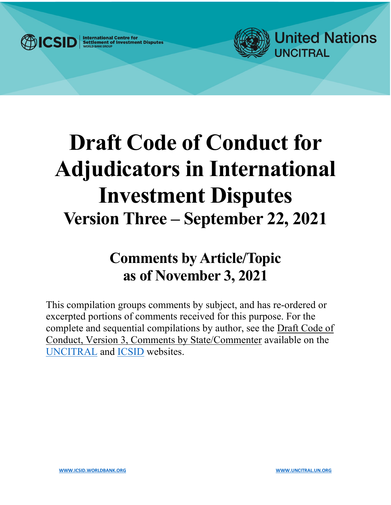

**International Centre for<br>Settlement of Investment Disputes** 



# **Draft Code of Conduct for Adjudicators in International Investment Disputes Version Three – September 22, 2021**

## **Comments by Article/Topic as of November 3, 2021**

This compilation groups comments by subject, and has re-ordered or excerpted portions of comments received for this purpose. For the complete and sequential compilations by author, see the Draft Code of Conduct, Version 3, Comments by State/Commenter available on the [UNCITRAL](https://uncitral.un.org/en/codeofconduct) and [ICSID](https://icsid.worldbank.org/resources/code-of-conduct) websites.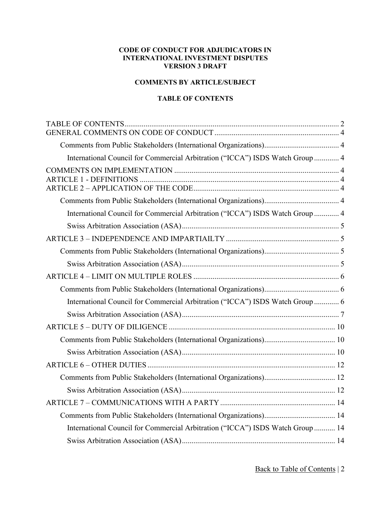#### **CODE OF CONDUCT FOR ADJUDICATORS IN INTERNATIONAL INVESTMENT DISPUTES VERSION 3 DRAFT**

#### **COMMENTS BY ARTICLE/SUBJECT**

#### **TABLE OF CONTENTS**

<span id="page-1-0"></span>

| International Council for Commercial Arbitration ("ICCA") ISDS Watch Group  4  |  |
|--------------------------------------------------------------------------------|--|
|                                                                                |  |
|                                                                                |  |
| International Council for Commercial Arbitration ("ICCA") ISDS Watch Group  4  |  |
|                                                                                |  |
|                                                                                |  |
|                                                                                |  |
|                                                                                |  |
|                                                                                |  |
|                                                                                |  |
| International Council for Commercial Arbitration ("ICCA") ISDS Watch Group  6  |  |
|                                                                                |  |
|                                                                                |  |
|                                                                                |  |
|                                                                                |  |
|                                                                                |  |
|                                                                                |  |
|                                                                                |  |
|                                                                                |  |
|                                                                                |  |
| International Council for Commercial Arbitration ("ICCA") ISDS Watch Group  14 |  |
|                                                                                |  |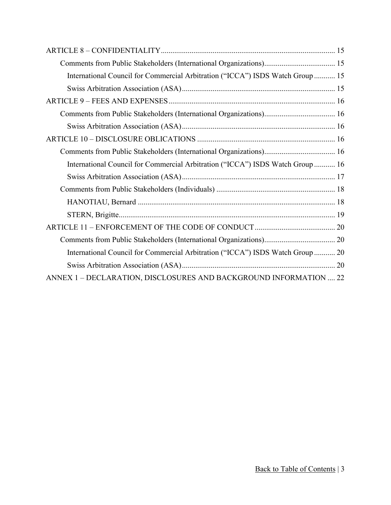| International Council for Commercial Arbitration ("ICCA") ISDS Watch Group  15 |
|--------------------------------------------------------------------------------|
|                                                                                |
|                                                                                |
|                                                                                |
|                                                                                |
|                                                                                |
|                                                                                |
| International Council for Commercial Arbitration ("ICCA") ISDS Watch Group  16 |
|                                                                                |
|                                                                                |
|                                                                                |
|                                                                                |
|                                                                                |
|                                                                                |
| International Council for Commercial Arbitration ("ICCA") ISDS Watch Group  20 |
|                                                                                |
| ANNEX 1 - DECLARATION, DISCLOSURES AND BACKGROUND INFORMATION  22              |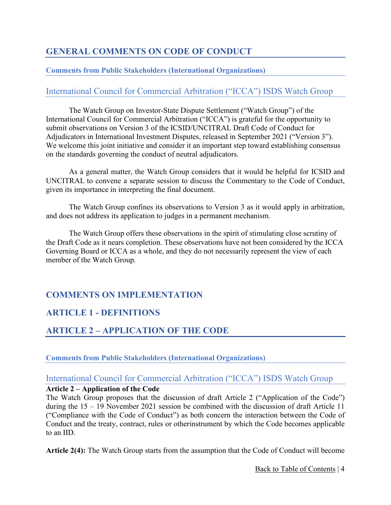## <span id="page-3-0"></span>**GENERAL COMMENTS ON CODE OF CONDUCT**

#### <span id="page-3-1"></span>**Comments from Public Stakeholders (International Organizations)**

## <span id="page-3-2"></span>International Council for Commercial Arbitration ("ICCA") ISDS Watch Group

The Watch Group on Investor-State Dispute Settlement ("Watch Group") of the International Council for Commercial Arbitration ("ICCA") is grateful for the opportunity to submit observations on Version 3 of the ICSID/UNCITRAL Draft Code of Conduct for Adjudicators in International Investment Disputes, released in September 2021 ("Version 3"). We welcome this joint initiative and consider it an important step toward establishing consensus on the standards governing the conduct of neutral adjudicators.

As a general matter, the Watch Group considers that it would be helpful for ICSID and UNCITRAL to convene a separate session to discuss the Commentary to the Code of Conduct, given its importance in interpreting the final document.

The Watch Group confines its observations to Version 3 as it would apply in arbitration, and does not address its application to judges in a permanent mechanism.

The Watch Group offers these observations in the spirit of stimulating close scrutiny of the Draft Code as it nears completion. These observations have not been considered by the ICCA Governing Board or ICCA as a whole, and they do not necessarily represent the view of each member of the Watch Group.

## <span id="page-3-3"></span>**COMMENTS ON IMPLEMENTATION**

## <span id="page-3-4"></span>**ARTICLE 1 - DEFINITIONS**

## <span id="page-3-5"></span>**ARTICLE 2 – APPLICATION OF THE CODE**

#### <span id="page-3-6"></span>**Comments from Public Stakeholders (International Organizations)**

#### <span id="page-3-7"></span>International Council for Commercial Arbitration ("ICCA") ISDS Watch Group

#### **Article 2 – Application of the Code**

The Watch Group proposes that the discussion of draft Article 2 ("Application of the Code") during the 15 – 19 November 2021 session be combined with the discussion of draft Article 11 ("Compliance with the Code of Conduct") as both concern the interaction between the Code of Conduct and the treaty, contract, rules or otherinstrument by which the Code becomes applicable to an IID.

**Article 2(4):** The Watch Group starts from the assumption that the Code of Conduct will become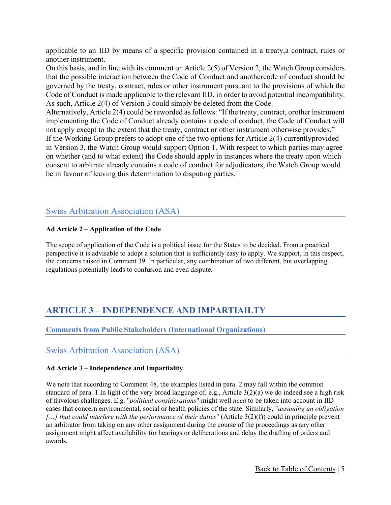applicable to an IID by means of a specific provision contained in a treaty,a contract, rules or another instrument.

On this basis, and in line with its comment on Article 2(5) of Version 2, the Watch Group considers that the possible interaction between the Code of Conduct and anothercode of conduct should be governed by the treaty, contract, rules or other instrument pursuant to the provisions of which the Code of Conduct is made applicable to the relevant IID, in order to avoid potential incompatibility. As such, Article 2(4) of Version 3 could simply be deleted from the Code.

Alternatively, Article 2(4) could be reworded as follows: "If the treaty, contract, orother instrument implementing the Code of Conduct already contains a code of conduct, the Code of Conduct will not apply except to the extent that the treaty, contract or other instrument otherwise provides." If the Working Group prefers to adopt one of the two options for Article 2(4) currentlyprovided in Version 3, the Watch Group would support Option 1. With respect to which parties may agree on whether (and to what extent) the Code should apply in instances where the treaty upon which consent to arbitrate already contains a code of conduct for adjudicators, the Watch Group would be in favour of leaving this determination to disputing parties.

#### <span id="page-4-0"></span>Swiss Arbitration Association (ASA)

#### **Ad Article 2 – Application of the Code**

The scope of application of the Code is a political issue for the States to be decided. From a practical perspective it is advisable to adopt a solution that is sufficiently easy to apply. We support, in this respect, the concerns raised in Comment 39. In particular, any combination of two different, but overlapping regulations potentially leads to confusion and even dispute.

## <span id="page-4-1"></span>**ARTICLE 3 – INDEPENDENCE AND IMPARTIAILTY**

<span id="page-4-2"></span>**Comments from Public Stakeholders (International Organizations)**

#### <span id="page-4-3"></span>Swiss Arbitration Association (ASA)

#### **Ad Article 3 – Independence and Impartiality**

We note that according to Comment 48, the examples listed in para. 2 may fall within the common standard of para. 1 In light of the very broad language of, e.g., Article 3(2)(a) we do indeed see a high risk of frivolous challenges. E.g. "*political considerations*" might well *need* to be taken into account in IID cases that concern environmental, social or health policies of the state. Similarly, "*assuming an obligation […] that could interfere with the performance of their duties*" (Article 3(2)(f)) could in principle prevent an arbitrator from taking on any other assignment during the course of the proceedings as any other assignment might affect availability for hearings or deliberations and delay the drafting of orders and awards.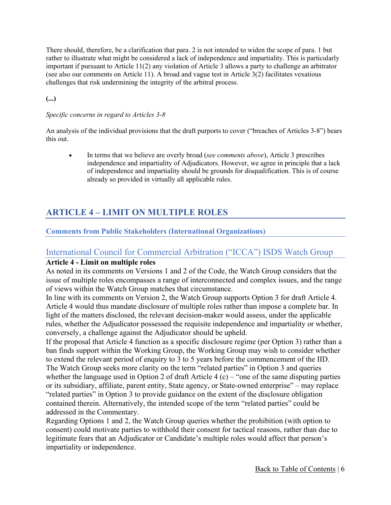There should, therefore, be a clarification that para. 2 is not intended to widen the scope of para. 1 but rather to illustrate what might be considered a lack of independence and impartiality. This is particularly important if pursuant to Article 11(2) any violation of Article 3 allows a party to challenge an arbitrator (see also our comments on Article 11). A broad and vague test in Article 3(2) facilitates vexatious challenges that risk undermining the integrity of the arbitral process.

**(...)**

#### *Specific concerns in regard to Articles 3-8*

An analysis of the individual provisions that the draft purports to cover ("breaches of Articles 3-8") bears this out.

• In terms that we believe are overly broad (*see comments above*), Article 3 prescribes independence and impartiality of Adjudicators. However, we agree in principle that a lack of independence and impartiality should be grounds for disqualification. This is of course already so provided in virtually all applicable rules.

## <span id="page-5-0"></span>**ARTICLE 4 – LIMIT ON MULTIPLE ROLES**

#### <span id="page-5-1"></span>**Comments from Public Stakeholders (International Organizations)**

#### <span id="page-5-2"></span>International Council for Commercial Arbitration ("ICCA") ISDS Watch Group

#### **Article 4 - Limit on multiple roles**

As noted in its comments on Versions 1 and 2 of the Code, the Watch Group considers that the issue of multiple roles encompasses a range of interconnected and complex issues, and the range of views within the Watch Group matches that circumstance.

In line with its comments on Version 2, the Watch Group supports Option 3 for draft Article 4. Article 4 would thus mandate disclosure of multiple roles rather than impose a complete bar. In light of the matters disclosed, the relevant decision-maker would assess, under the applicable rules, whether the Adjudicator possessed the requisite independence and impartiality or whether, conversely, a challenge against the Adjudicator should be upheld.

If the proposal that Article 4 function as a specific disclosure regime (per Option 3) rather than a ban finds support within the Working Group, the Working Group may wish to consider whether to extend the relevant period of enquiry to 3 to 5 years before the commencement of the IID. The Watch Group seeks more clarity on the term "related parties" in Option 3 and queries whether the language used in Option 2 of draft Article 4  $(c)$  – "one of the same disputing parties or its subsidiary, affiliate, parent entity, State agency, or State-owned enterprise" – may replace "related parties" in Option 3 to provide guidance on the extent of the disclosure obligation contained therein. Alternatively, the intended scope of the term "related parties" could be addressed in the Commentary.

Regarding Options 1 and 2, the Watch Group queries whether the prohibition (with option to consent) could motivate parties to withhold their consent for tactical reasons, rather than due to legitimate fears that an Adjudicator or Candidate's multiple roles would affect that person's impartiality or independence.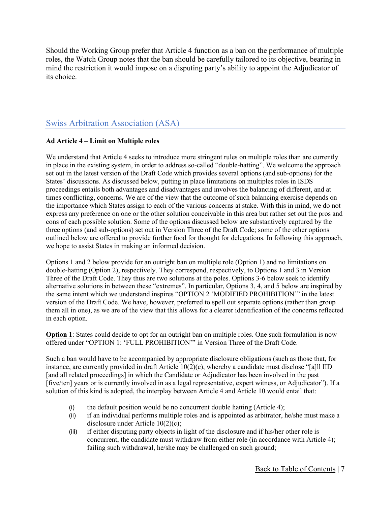Should the Working Group prefer that Article 4 function as a ban on the performance of multiple roles, the Watch Group notes that the ban should be carefully tailored to its objective, bearing in mind the restriction it would impose on a disputing party's ability to appoint the Adjudicator of its choice.

## <span id="page-6-0"></span>Swiss Arbitration Association (ASA)

#### **Ad Article 4 – Limit on Multiple roles**

We understand that Article 4 seeks to introduce more stringent rules on multiple roles than are currently in place in the existing system, in order to address so-called "double-hatting". We welcome the approach set out in the latest version of the Draft Code which provides several options (and sub-options) for the States' discussions. As discussed below, putting in place limitations on multiples roles in ISDS proceedings entails both advantages and disadvantages and involves the balancing of different, and at times conflicting, concerns. We are of the view that the outcome of such balancing exercise depends on the importance which States assign to each of the various concerns at stake. With this in mind, we do not express any preference on one or the other solution conceivable in this area but rather set out the pros and cons of each possible solution. Some of the options discussed below are substantively captured by the three options (and sub-options) set out in Version Three of the Draft Code; some of the other options outlined below are offered to provide further food for thought for delegations. In following this approach, we hope to assist States in making an informed decision.

Options 1 and 2 below provide for an outright ban on multiple role (Option 1) and no limitations on double-hatting (Option 2), respectively. They correspond, respectively, to Options 1 and 3 in Version Three of the Draft Code. They thus are two solutions at the poles. Options 3-6 below seek to identify alternative solutions in between these "extremes". In particular, Options 3, 4, and 5 below are inspired by the same intent which we understand inspires "OPTION 2 'MODIFIED PROHIBITION'" in the latest version of the Draft Code. We have, however, preferred to spell out separate options (rather than group them all in one), as we are of the view that this allows for a clearer identification of the concerns reflected in each option.

**Option 1**: States could decide to opt for an outright ban on multiple roles. One such formulation is now offered under "OPTION 1: 'FULL PROHIBITION'" in Version Three of the Draft Code.

Such a ban would have to be accompanied by appropriate disclosure obligations (such as those that, for instance, are currently provided in draft Article  $10(2)(c)$ , whereby a candidate must disclose "[a]ll IID [and all related proceedings] in which the Candidate or Adjudicator has been involved in the past [five/ten] years or is currently involved in as a legal representative, expert witness, or Adjudicator"). If a solution of this kind is adopted, the interplay between Article 4 and Article 10 would entail that:

- (i) the default position would be no concurrent double hatting (Article 4);
- (ii) if an individual performs multiple roles and is appointed as arbitrator, he/she must make a disclosure under Article 10(2)(c);
- (iii) if either disputing party objects in light of the disclosure and if his/her other role is concurrent, the candidate must withdraw from either role (in accordance with Article 4); failing such withdrawal, he/she may be challenged on such ground;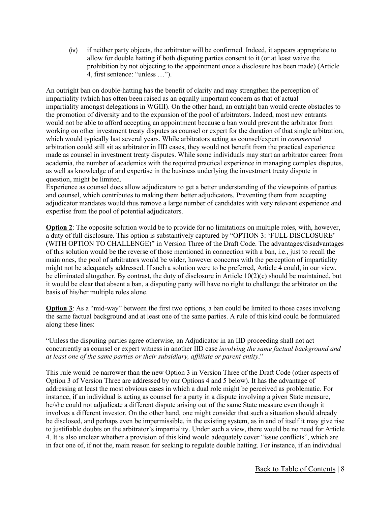(iv) if neither party objects, the arbitrator will be confirmed. Indeed, it appears appropriate to allow for double hatting if both disputing parties consent to it (or at least waive the prohibition by not objecting to the appointment once a disclosure has been made) (Article 4, first sentence: "unless …").

An outright ban on double-hatting has the benefit of clarity and may strengthen the perception of impartiality (which has often been raised as an equally important concern as that of actual impartiality amongst delegations in WGIII). On the other hand, an outright ban would create obstacles to the promotion of diversity and to the expansion of the pool of arbitrators. Indeed, most new entrants would not be able to afford accepting an appointment because a ban would prevent the arbitrator from working on other investment treaty disputes as counsel or expert for the duration of that single arbitration, which would typically last several years. While arbitrators acting as counsel/expert in *commercial*  arbitration could still sit as arbitrator in IID cases, they would not benefit from the practical experience made as counsel in investment treaty disputes. While some individuals may start an arbitrator career from academia, the number of academics with the required practical experience in managing complex disputes, as well as knowledge of and expertise in the business underlying the investment treaty dispute in question, might be limited.

Experience as counsel does allow adjudicators to get a better understanding of the viewpoints of parties and counsel, which contributes to making them better adjudicators. Preventing them from accepting adjudicator mandates would thus remove a large number of candidates with very relevant experience and expertise from the pool of potential adjudicators.

**Option 2**: The opposite solution would be to provide for no limitations on multiple roles, with, however, a duty of full disclosure. This option is substantively captured by "OPTION 3: 'FULL DISCLOSURE' (WITH OPTION TO CHALLENGE)" in Version Three of the Draft Code. The advantages/disadvantages of this solution would be the reverse of those mentioned in connection with a ban, i.e., just to recall the main ones, the pool of arbitrators would be wider, however concerns with the perception of impartiality might not be adequately addressed. If such a solution were to be preferred, Article 4 could, in our view, be eliminated altogether. By contrast, the duty of disclosure in Article 10(2)(c) should be maintained, but it would be clear that absent a ban, a disputing party will have no right to challenge the arbitrator on the basis of his/her multiple roles alone.

**Option 3**: As a "mid-way" between the first two options, a ban could be limited to those cases involving the same factual background and at least one of the same parties. A rule of this kind could be formulated along these lines:

"Unless the disputing parties agree otherwise, an Adjudicator in an IID proceeding shall not act concurrently as counsel or expert witness in another IID case *involving the same factual background and at least one of the same parties or their subsidiary, affiliate or parent entity*."

This rule would be narrower than the new Option 3 in Version Three of the Draft Code (other aspects of Option 3 of Version Three are addressed by our Options 4 and 5 below). It has the advantage of addressing at least the most obvious cases in which a dual role might be perceived as problematic. For instance, if an individual is acting as counsel for a party in a dispute involving a given State measure, he/she could not adjudicate a different dispute arising out of the same State measure even though it involves a different investor. On the other hand, one might consider that such a situation should already be disclosed, and perhaps even be impermissible, in the existing system, as in and of itself it may give rise to justifiable doubts on the arbitrator's impartiality. Under such a view, there would be no need for Article 4. It is also unclear whether a provision of this kind would adequately cover "issue conflicts", which are in fact one of, if not the, main reason for seeking to regulate double hatting. For instance, if an individual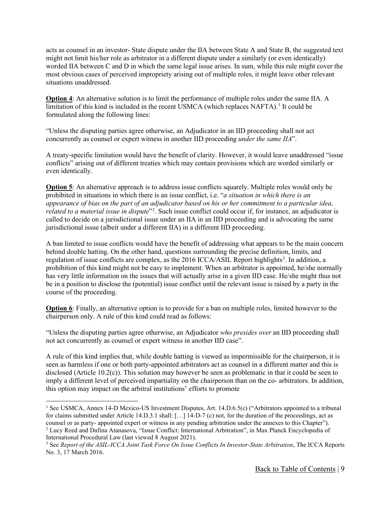acts as counsel in an investor- State dispute under the IIA between State A and State B, the suggested text might not limit his/her role as arbitrator in a different dispute under a similarly (or even identically) worded IIA between C and D in which the same legal issue arises. In sum, while this rule might cover the most obvious cases of perceived impropriety arising out of multiple roles, it might leave other relevant situations unaddressed.

**Option 4**: An alternative solution is to limit the performance of multiple roles under the same IIA. A limitation of this kind is included in the recent USMCA (which replaces NAFTA).<sup>[1](#page-8-0)</sup> It could be formulated along the following lines:

"Unless the disputing parties agree otherwise, an Adjudicator in an IID proceeding shall not act concurrently as counsel or expert witness in another IID proceeding *under the same IIA*".

A treaty-specific limitation would have the benefit of clarity. However, it would leave unaddressed "issue conflicts" arising out of different treaties which may contain provisions which are worded similarly or even identically.

**Option 5**: An alternative approach is to address issue conflicts squarely. Multiple roles would only be prohibited in situations in which there is an issue conflict, i.e. "*a situation in which there is an appearance of bias on the part of an adjudicator based on his or her commitment to a particular idea,*  related to a material issue in dispute<sup>"[2](#page-8-1)</sup>. Such issue conflict could occur if, for instance, an adjudicator is called to decide on a jurisdictional issue under an IIA in an IID proceeding and is advocating the same jurisdictional issue (albeit under a different IIA) in a different IID proceeding.

A ban limited to issue conflicts would have the benefit of addressing what appears to be the main concern behind double hatting. On the other hand, questions surrounding the precise definition, limits, and regulation of issue conflicts are complex, as the 2016 ICCA/ASIL Report highlights<sup>[3](#page-8-2)</sup>. In addition, a prohibition of this kind might not be easy to implement. When an arbitrator is appointed, he/she normally has very little information on the issues that will actually arise in a given IID case. He/she might thus not be in a position to disclose the (potential) issue conflict until the relevant issue is raised by a party in the course of the proceeding.

**Option 6**: Finally, an alternative option is to provide for a ban on multiple roles, limited however to the chairperson only. A rule of this kind could read as follows:

"Unless the disputing parties agree otherwise, an Adjudicator *who presides over* an IID proceeding shall not act concurrently as counsel or expert witness in another IID case".

A rule of this kind implies that, while double hatting is viewed as impermissible for the chairperson, it is seen as harmless if one or both party-appointed arbitrators act as counsel in a different matter and this is disclosed (Article 10.2(c)). This solution may however be seen as problematic in that it could be seen to imply a different level of perceived impartiality on the chairperson than on the co- arbitrators. In addition, this option may impact on the arbitral institutions' efforts to promote

<span id="page-8-0"></span><sup>&</sup>lt;sup>1</sup> See USMCA, Annex 14-D Mexico-US Investment Disputes, Art. 14.D.6.5(c) ("Arbitrators appointed to a tribunal for claims submitted under Article 14.D.3.1 shall: […] 14-D-7 (c) not, for the duration of the proceedings, act as counsel or as party- appointed expert or witness in any pending arbitration under the annexes to this Chapter"). <sup>2</sup> Lucy Reed and Dafina Atanasova, "Issue Conflict: International Arbitration", in Max Planck Encyclopedia of International Procedural Law (last viewed 8 August 2021).

<span id="page-8-2"></span><span id="page-8-1"></span><sup>3</sup> See *Report of the ASIL-ICCA Joint Task Force On Issue Conflicts In Investor-State Arbitration*, The ICCA Reports No. 3, 17 March 2016.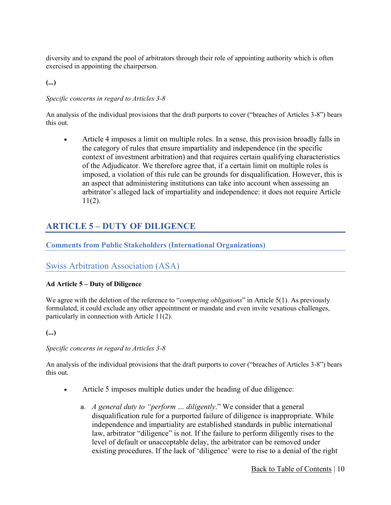diversity and to expand the pool of arbitrators through their role of appointing authority which is often exercised in appointing the chairperson.

**(...)**

#### *Specific concerns in regard to Articles 3-8*

An analysis of the individual provisions that the draft purports to cover ("breaches of Articles 3-8") bears this out.

• Article 4 imposes a limit on multiple roles. In a sense, this provision broadly falls in the category of rules that ensure impartiality and independence (in the specific context of investment arbitration) and that requires certain qualifying characteristics of the Adjudicator. We therefore agree that, if a certain limit on multiple roles is imposed, a violation of this rule can be grounds for disqualification. However, this is an aspect that administering institutions can take into account when assessing an arbitrator's alleged lack of impartiality and independence: it does not require Article 11(2).

## <span id="page-9-0"></span>**ARTICLE 5 – DUTY OF DILIGENCE**

#### <span id="page-9-1"></span>**Comments from Public Stakeholders (International Organizations)**

#### <span id="page-9-2"></span>Swiss Arbitration Association (ASA)

#### **Ad Article 5 – Duty of Diligence**

We agree with the deletion of the reference to "*competing obligations*" in Article 5(1). As previously formulated, it could exclude any other appointment or mandate and even invite vexatious challenges, particularly in connection with Article 11(2).

**(...)**

#### *Specific concerns in regard to Articles 3-8*

An analysis of the individual provisions that the draft purports to cover ("breaches of Articles 3-8") bears this out.

- Article 5 imposes multiple duties under the heading of due diligence:
	- a. *A general duty to "perform … diligently*." We consider that a general disqualification rule for a purported failure of diligence is inappropriate. While independence and impartiality are established standards in public international law, arbitrator "diligence" is not. If the failure to perform diligently rises to the level of default or unacceptable delay, the arbitrator can be removed under existing procedures. If the lack of 'diligence' were to rise to a denial of the right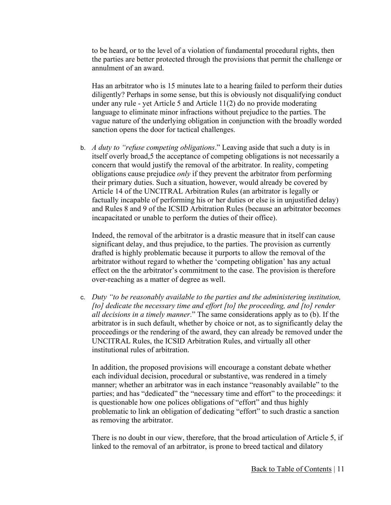to be heard, or to the level of a violation of fundamental procedural rights, then the parties are better protected through the provisions that permit the challenge or annulment of an award.

Has an arbitrator who is 15 minutes late to a hearing failed to perform their duties diligently? Perhaps in some sense, but this is obviously not disqualifying conduct under any rule - yet Article 5 and Article 11(2) do no provide moderating language to eliminate minor infractions without prejudice to the parties. The vague nature of the underlying obligation in conjunction with the broadly worded sanction opens the door for tactical challenges.

b. *A duty to "refuse competing obligations*." Leaving aside that such a duty is in itself overly broad,5 the acceptance of competing obligations is not necessarily a concern that would justify the removal of the arbitrator. In reality, competing obligations cause prejudice *only* if they prevent the arbitrator from performing their primary duties. Such a situation, however, would already be covered by Article 14 of the UNCITRAL Arbitration Rules (an arbitrator is legally or factually incapable of performing his or her duties or else is in unjustified delay) and Rules 8 and 9 of the ICSID Arbitration Rules (because an arbitrator becomes incapacitated or unable to perform the duties of their office).

Indeed, the removal of the arbitrator is a drastic measure that in itself can cause significant delay, and thus prejudice, to the parties. The provision as currently drafted is highly problematic because it purports to allow the removal of the arbitrator without regard to whether the 'competing obligation' has any actual effect on the the arbitrator's commitment to the case. The provision is therefore over-reaching as a matter of degree as well.

c. *Duty "to be reasonably available to the parties and the administering institution, [to] dedicate the necessary time and effort [to] the proceeding, and [to] render all decisions in a timely manner*." The same considerations apply as to (b). If the arbitrator is in such default, whether by choice or not, as to significantly delay the proceedings or the rendering of the award, they can already be removed under the UNCITRAL Rules, the ICSID Arbitration Rules, and virtually all other institutional rules of arbitration.

In addition, the proposed provisions will encourage a constant debate whether each individual decision, procedural or substantive, was rendered in a timely manner; whether an arbitrator was in each instance "reasonably available" to the parties; and has "dedicated" the "necessary time and effort" to the proceedings: it is questionable how one polices obligations of "effort" and thus highly problematic to link an obligation of dedicating "effort" to such drastic a sanction as removing the arbitrator.

There is no doubt in our view, therefore, that the broad articulation of Article 5, if linked to the removal of an arbitrator, is prone to breed tactical and dilatory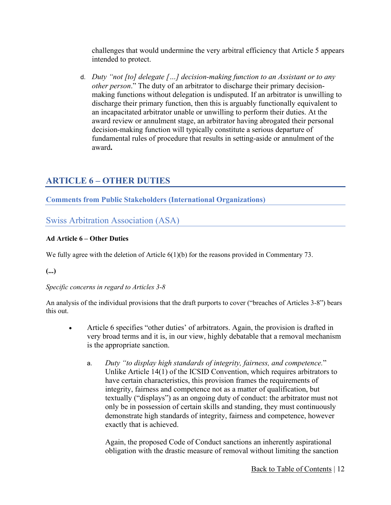challenges that would undermine the very arbitral efficiency that Article 5 appears intended to protect.

d. *Duty "not [to] delegate […] decision-making function to an Assistant or to any other person*." The duty of an arbitrator to discharge their primary decisionmaking functions without delegation is undisputed. If an arbitrator is unwilling to discharge their primary function, then this is arguably functionally equivalent to an incapacitated arbitrator unable or unwilling to perform their duties. At the award review or annulment stage, an arbitrator having abrogated their personal decision-making function will typically constitute a serious departure of fundamental rules of procedure that results in setting-aside or annulment of the award**.**

## <span id="page-11-0"></span>**ARTICLE 6 – OTHER DUTIES**

<span id="page-11-1"></span>**Comments from Public Stakeholders (International Organizations)**

<span id="page-11-2"></span>Swiss Arbitration Association (ASA)

#### **Ad Article 6 – Other Duties**

We fully agree with the deletion of Article  $6(1)(b)$  for the reasons provided in Commentary 73.

**(...)**

*Specific concerns in regard to Articles 3-8*

An analysis of the individual provisions that the draft purports to cover ("breaches of Articles 3-8") bears this out.

- Article 6 specifies "other duties' of arbitrators. Again, the provision is drafted in very broad terms and it is, in our view, highly debatable that a removal mechanism is the appropriate sanction.
	- a. *Duty "to display high standards of integrity, fairness, and competence.*" Unlike Article 14(1) of the ICSID Convention, which requires arbitrators to have certain characteristics, this provision frames the requirements of integrity, fairness and competence not as a matter of qualification, but textually ("displays") as an ongoing duty of conduct: the arbitrator must not only be in possession of certain skills and standing, they must continuously demonstrate high standards of integrity, fairness and competence, however exactly that is achieved.

Again, the proposed Code of Conduct sanctions an inherently aspirational obligation with the drastic measure of removal without limiting the sanction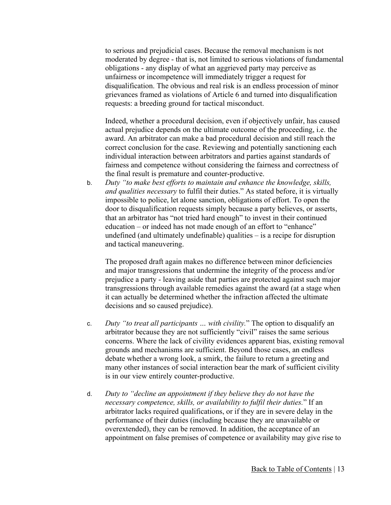to serious and prejudicial cases. Because the removal mechanism is not moderated by degree - that is, not limited to serious violations of fundamental obligations - any display of what an aggrieved party may perceive as unfairness or incompetence will immediately trigger a request for disqualification. The obvious and real risk is an endless procession of minor grievances framed as violations of Article 6 and turned into disqualification requests: a breeding ground for tactical misconduct.

Indeed, whether a procedural decision, even if objectively unfair, has caused actual prejudice depends on the ultimate outcome of the proceeding, i.e. the award. An arbitrator can make a bad procedural decision and still reach the correct conclusion for the case. Reviewing and potentially sanctioning each individual interaction between arbitrators and parties against standards of fairness and competence without considering the fairness and correctness of the final result is premature and counter-productive.

b. *Duty "to make best efforts to maintain and enhance the knowledge, skills, and qualities necessary* to fulfil their duties." As stated before, it is virtually impossible to police, let alone sanction, obligations of effort. To open the door to disqualification requests simply because a party believes, or asserts, that an arbitrator has "not tried hard enough" to invest in their continued education – or indeed has not made enough of an effort to "enhance" undefined (and ultimately undefinable) qualities – is a recipe for disruption and tactical maneuvering.

The proposed draft again makes no difference between minor deficiencies and major transgressions that undermine the integrity of the process and/or prejudice a party - leaving aside that parties are protected against such major transgressions through available remedies against the award (at a stage when it can actually be determined whether the infraction affected the ultimate decisions and so caused prejudice).

- c. *Duty "to treat all participants … with civility.*" The option to disqualify an arbitrator because they are not sufficiently "civil" raises the same serious concerns. Where the lack of civility evidences apparent bias, existing removal grounds and mechanisms are sufficient. Beyond those cases, an endless debate whether a wrong look, a smirk, the failure to return a greeting and many other instances of social interaction bear the mark of sufficient civility is in our view entirely counter-productive.
- d. *Duty to "decline an appointment if they believe they do not have the necessary competence, skills, or availability to fulfil their duties.*" If an arbitrator lacks required qualifications, or if they are in severe delay in the performance of their duties (including because they are unavailable or overextended), they can be removed. In addition, the acceptance of an appointment on false premises of competence or availability may give rise to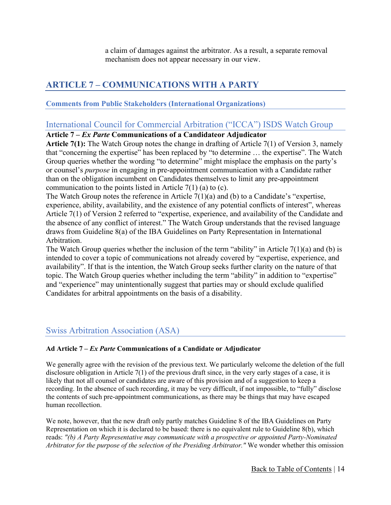a claim of damages against the arbitrator. As a result, a separate removal mechanism does not appear necessary in our view.

## <span id="page-13-0"></span>**ARTICLE 7 – COMMUNICATIONS WITH A PARTY**

#### <span id="page-13-1"></span>**Comments from Public Stakeholders (International Organizations)**

## <span id="page-13-2"></span>International Council for Commercial Arbitration ("ICCA") ISDS Watch Group

#### **Article 7 –** *Ex Parte* **Communications of a Candidateor Adjudicator**

**Article 7(1):** The Watch Group notes the change in drafting of Article 7(1) of Version 3, namely that "concerning the expertise" has been replaced by "to determine … the expertise". The Watch Group queries whether the wording "to determine" might misplace the emphasis on the party's or counsel's *purpose* in engaging in pre-appointment communication with a Candidate rather than on the obligation incumbent on Candidates themselves to limit any pre-appointment communication to the points listed in Article  $7(1)$  (a) to (c).

The Watch Group notes the reference in Article 7(1)(a) and (b) to a Candidate's "expertise, experience, ability, availability, and the existence of any potential conflicts of interest", whereas Article 7(1) of Version 2 referred to "expertise, experience, and availability of the Candidate and the absence of any conflict of interest." The Watch Group understands that the revised language draws from Guideline 8(a) of the IBA Guidelines on Party Representation in International Arbitration.

The Watch Group queries whether the inclusion of the term "ability" in Article  $7(1)(a)$  and (b) is intended to cover a topic of communications not already covered by "expertise, experience, and availability". If that is the intention, the Watch Group seeks further clarity on the nature of that topic. The Watch Group queries whether including the term "ability" in addition to "expertise" and "experience" may unintentionally suggest that parties may or should exclude qualified Candidates for arbitral appointments on the basis of a disability.

## <span id="page-13-3"></span>Swiss Arbitration Association (ASA)

#### **Ad Article 7 –** *Ex Parte* **Communications of a Candidate or Adjudicator**

We generally agree with the revision of the previous text. We particularly welcome the deletion of the full disclosure obligation in Article  $7(1)$  of the previous draft since, in the very early stages of a case, it is likely that not all counsel or candidates are aware of this provision and of a suggestion to keep a recording. In the absence of such recording, it may be very difficult, if not impossible, to "fully" disclose the contents of such pre-appointment communications, as there may be things that may have escaped human recollection.

We note, however, that the new draft only partly matches Guideline 8 of the IBA Guidelines on Party Representation on which it is declared to be based: there is no equivalent rule to Guideline 8(b), which reads: *"(b) A Party Representative may communicate with a prospective or appointed Party-Nominated Arbitrator for the purpose of the selection of the Presiding Arbitrator."* We wonder whether this omission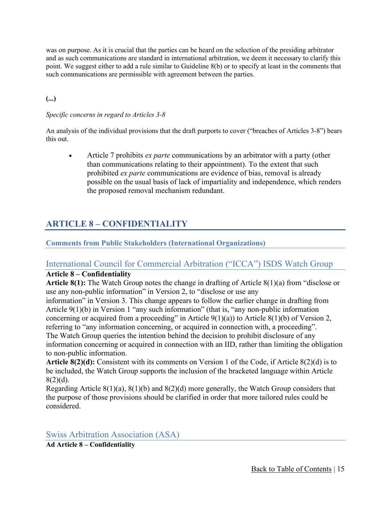was on purpose. As it is crucial that the parties can be heard on the selection of the presiding arbitrator and as such communications are standard in international arbitration, we deem it necessary to clarify this point. We suggest either to add a rule similar to Guideline 8(b) or to specify at least in the comments that such communications are permissible with agreement between the parties.

#### **(...)**

#### *Specific concerns in regard to Articles 3-8*

An analysis of the individual provisions that the draft purports to cover ("breaches of Articles 3-8") bears this out.

• Article 7 prohibits *ex parte* communications by an arbitrator with a party (other than communications relating to their appointment). To the extent that such prohibited *ex parte* communications are evidence of bias, removal is already possible on the usual basis of lack of impartiality and independence, which renders the proposed removal mechanism redundant.

## <span id="page-14-0"></span>**ARTICLE 8 – CONFIDENTIALITY**

#### <span id="page-14-1"></span>**Comments from Public Stakeholders (International Organizations)**

## <span id="page-14-2"></span>International Council for Commercial Arbitration ("ICCA") ISDS Watch Group

#### **Article 8 – Confidentiality**

**Article 8(1):** The Watch Group notes the change in drafting of Article 8(1)(a) from "disclose or use any non-public information" in Version 2, to "disclose or use any

information" in Version 3. This change appears to follow the earlier change in drafting from Article 9(1)(b) in Version 1 "any such information" (that is, "any non-public information concerning or acquired from a proceeding" in Article  $9(1)(a)$  to Article  $8(1)(b)$  of Version 2, referring to "any information concerning, or acquired in connection with, a proceeding". The Watch Group queries the intention behind the decision to prohibit disclosure of any information concerning or acquired in connection with an IID, rather than limiting the obligation to non-public information.

**Article 8(2)(d):** Consistent with its comments on Version 1 of the Code, if Article 8(2)(d) is to be included, the Watch Group supports the inclusion of the bracketed language within Article 8(2)(d).

Regarding Article 8(1)(a), 8(1)(b) and 8(2)(d) more generally, the Watch Group considers that the purpose of those provisions should be clarified in order that more tailored rules could be considered.

<span id="page-14-3"></span>Swiss Arbitration Association (ASA)

**Ad Article 8 – Confidentiality**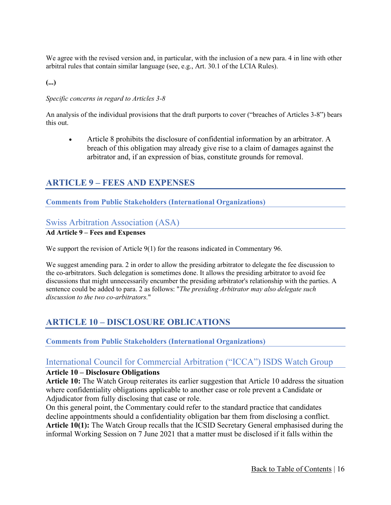We agree with the revised version and, in particular, with the inclusion of a new para. 4 in line with other arbitral rules that contain similar language (see, e.g., Art. 30.1 of the LCIA Rules).

**(...)**

#### *Specific concerns in regard to Articles 3-8*

An analysis of the individual provisions that the draft purports to cover ("breaches of Articles 3-8") bears this out.

• Article 8 prohibits the disclosure of confidential information by an arbitrator. A breach of this obligation may already give rise to a claim of damages against the arbitrator and, if an expression of bias, constitute grounds for removal.

#### <span id="page-15-0"></span>**ARTICLE 9 – FEES AND EXPENSES**

#### <span id="page-15-1"></span>**Comments from Public Stakeholders (International Organizations)**

#### <span id="page-15-2"></span>Swiss Arbitration Association (ASA)

#### **Ad Article 9 – Fees and Expenses**

We support the revision of Article 9(1) for the reasons indicated in Commentary 96.

We suggest amending para. 2 in order to allow the presiding arbitrator to delegate the fee discussion to the co-arbitrators. Such delegation is sometimes done. It allows the presiding arbitrator to avoid fee discussions that might unnecessarily encumber the presiding arbitrator's relationship with the parties. A sentence could be added to para. 2 as follows: "*The presiding Arbitrator may also delegate such discussion to the two co-arbitrators.*"

## <span id="page-15-3"></span>**ARTICLE 10 – DISCLOSURE OBLICATIONS**

<span id="page-15-4"></span>**Comments from Public Stakeholders (International Organizations)**

#### <span id="page-15-5"></span>International Council for Commercial Arbitration ("ICCA") ISDS Watch Group

#### **Article 10 – Disclosure Obligations**

**Article 10:** The Watch Group reiterates its earlier suggestion that Article 10 address the situation where confidentiality obligations applicable to another case or role prevent a Candidate or Adjudicator from fully disclosing that case or role.

On this general point, the Commentary could refer to the standard practice that candidates decline appointments should a confidentiality obligation bar them from disclosing a conflict. **Article 10(1):** The Watch Group recalls that the ICSID Secretary General emphasised during the informal Working Session on 7 June 2021 that a matter must be disclosed if it falls within the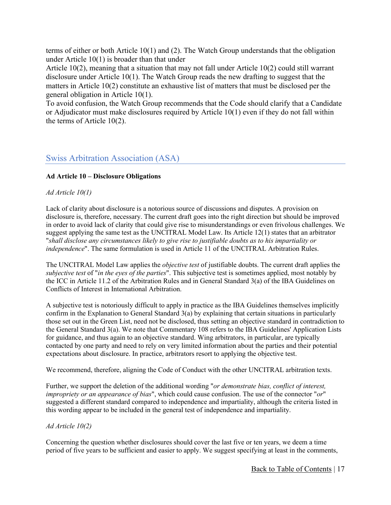terms of either or both Article 10(1) and (2). The Watch Group understands that the obligation under Article 10(1) is broader than that under

Article 10(2), meaning that a situation that may not fall under Article 10(2) could still warrant disclosure under Article 10(1). The Watch Group reads the new drafting to suggest that the matters in Article 10(2) constitute an exhaustive list of matters that must be disclosed per the general obligation in Article 10(1).

To avoid confusion, the Watch Group recommends that the Code should clarify that a Candidate or Adjudicator must make disclosures required by Article 10(1) even if they do not fall within the terms of Article 10(2).

## <span id="page-16-0"></span>Swiss Arbitration Association (ASA)

#### **Ad Article 10 – Disclosure Obligations**

#### *Ad Article 10(1)*

Lack of clarity about disclosure is a notorious source of discussions and disputes. A provision on disclosure is, therefore, necessary. The current draft goes into the right direction but should be improved in order to avoid lack of clarity that could give rise to misunderstandings or even frivolous challenges. We suggest applying the same test as the UNCITRAL Model Law. Its Article 12(1) states that an arbitrator "*shall disclose any circumstances likely to give rise to justifiable doubts as to his impartiality or independence*". The same formulation is used in Article 11 of the UNCITRAL Arbitration Rules.

The UNCITRAL Model Law applies the *objective test* of justifiable doubts. The current draft applies the *subjective test* of "*in the eyes of the parties*". This subjective test is sometimes applied, most notably by the ICC in Article 11.2 of the Arbitration Rules and in General Standard 3(a) of the IBA Guidelines on Conflicts of Interest in International Arbitration.

A subjective test is notoriously difficult to apply in practice as the IBA Guidelines themselves implicitly confirm in the Explanation to General Standard 3(a) by explaining that certain situations in particularly those set out in the Green List, need not be disclosed, thus setting an objective standard in contradiction to the General Standard 3(a). We note that Commentary 108 refers to the IBA Guidelines' Application Lists for guidance, and thus again to an objective standard. Wing arbitrators, in particular, are typically contacted by one party and need to rely on very limited information about the parties and their potential expectations about disclosure. In practice, arbitrators resort to applying the objective test.

We recommend, therefore, aligning the Code of Conduct with the other UNCITRAL arbitration texts.

Further, we support the deletion of the additional wording "*or demonstrate bias, conflict of interest, impropriety or an appearance of bias*", which could cause confusion. The use of the connector "*or*" suggested a different standard compared to independence and impartiality, although the criteria listed in this wording appear to be included in the general test of independence and impartiality.

#### *Ad Article 10(2)*

Concerning the question whether disclosures should cover the last five or ten years, we deem a time period of five years to be sufficient and easier to apply. We suggest specifying at least in the comments,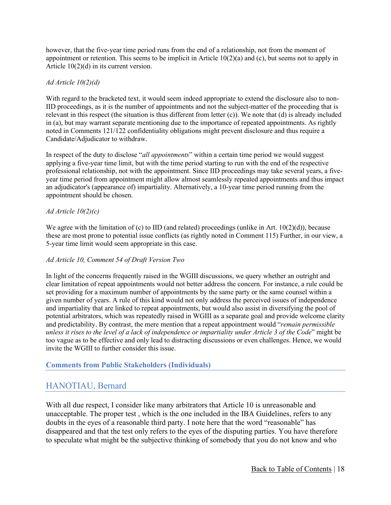however, that the five-year time period runs from the end of a relationship, not from the moment of appointment or retention. This seems to be implicit in Article 10(2)(a) and (c), but seems not to apply in Article 10(2)(d) in its current version.

#### *Ad Article 10(2)(d)*

With regard to the bracketed text, it would seem indeed appropriate to extend the disclosure also to non-IID proceedings, as it is the number of appointments and not the subject-matter of the proceeding that is relevant in this respect (the situation is thus different from letter (c)). We note that (d) is already included in (a), but may warrant separate mentioning due to the importance of repeated appointments. As rightly noted in Comments 121/122 confidentiality obligations might prevent disclosure and thus require a Candidate/Adjudicator to withdraw.

In respect of the duty to disclose "*all appointments*" within a certain time period we would suggest applying a five-year time limit, but with the time period starting to run with the end of the respective professional relationship, not with the appointment. Since IID proceedings may take several years, a fiveyear time period from appointment might allow almost seamlessly repeated appointments and thus impact an adjudicator's (appearance of) impartiality. Alternatively, a 10-year time period running from the appointment should be chosen.

#### *Ad Article 10(2)(c)*

We agree with the limitation of (c) to IID (and related) proceedings (unlike in Art.  $10(2)(d)$ ), because these are most prone to potential issue conflicts (as rightly noted in Comment 115) Further, in our view, a 5-year time limit would seem appropriate in this case.

#### *Ad Article 10, Comment 54 of Draft Version Two*

In light of the concerns frequently raised in the WGIII discussions, we query whether an outright and clear limitation of repeat appointments would not better address the concern. For instance, a rule could be set providing for a maximum number of appointments by the same party or the same counsel within a given number of years. A rule of this kind would not only address the perceived issues of independence and impartiality that are linked to repeat appointments, but would also assist in diversifying the pool of potential arbitrators, which was repeatedly raised in WGIII as a separate goal and provide welcome clarity and predictability. By contrast, the mere mention that a repeat appointment would "*remain permissible unless it rises to the level of a lack of independence or impartiality under Article 3 of the Code*" might be too vague as to be effective and only lead to distracting discussions or even challenges. Hence, we would invite the WGIII to further consider this issue.

#### <span id="page-17-0"></span>**Comments from Public Stakeholders (Individuals)**

#### <span id="page-17-1"></span>HANOTIAU, Bernard

With all due respect, I consider like many arbitrators that Article 10 is unreasonable and unacceptable. The proper test , which is the one included in the IBA Guidelines, refers to any doubts in the eyes of a reasonable third party. I note here that the word "reasonable" has disappeared and that the test only refers to the eyes of the disputing parties. You have therefore to speculate what might be the subjective thinking of somebody that you do not know and who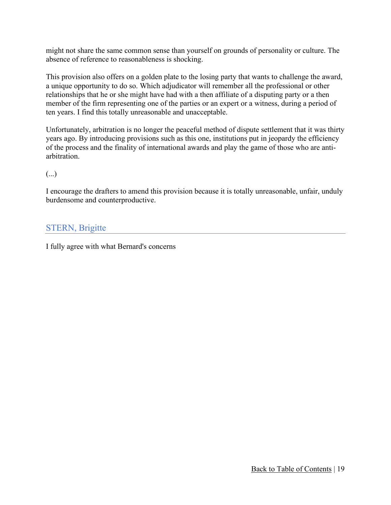might not share the same common sense than yourself on grounds of personality or culture. The absence of reference to reasonableness is shocking.

This provision also offers on a golden plate to the losing party that wants to challenge the award, a unique opportunity to do so. Which adjudicator will remember all the professional or other relationships that he or she might have had with a then affiliate of a disputing party or a then member of the firm representing one of the parties or an expert or a witness, during a period of ten years. I find this totally unreasonable and unacceptable.

Unfortunately, arbitration is no longer the peaceful method of dispute settlement that it was thirty years ago. By introducing provisions such as this one, institutions put in jeopardy the efficiency of the process and the finality of international awards and play the game of those who are antiarbitration.  

(...)

I encourage the drafters to amend this provision because it is totally unreasonable, unfair, unduly burdensome and counterproductive.

## <span id="page-18-0"></span>STERN, Brigitte

I fully agree with what Bernard's concerns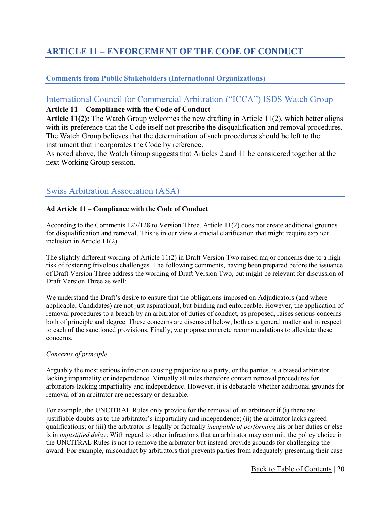## <span id="page-19-0"></span>**ARTICLE 11 – ENFORCEMENT OF THE CODE OF CONDUCT**

#### <span id="page-19-1"></span>**Comments from Public Stakeholders (International Organizations)**

## <span id="page-19-2"></span>International Council for Commercial Arbitration ("ICCA") ISDS Watch Group

#### **Article 11 – Compliance with the Code of Conduct**

**Article 11(2):** The Watch Group welcomes the new drafting in Article 11(2), which better aligns with its preference that the Code itself not prescribe the disqualification and removal procedures. The Watch Group believes that the determination of such procedures should be left to the instrument that incorporates the Code by reference.

As noted above, the Watch Group suggests that Articles 2 and 11 be considered together at the next Working Group session.

## <span id="page-19-3"></span>Swiss Arbitration Association (ASA)

#### **Ad Article 11 – Compliance with the Code of Conduct**

According to the Comments 127/128 to Version Three, Article 11(2) does not create additional grounds for disqualification and removal. This is in our view a crucial clarification that might require explicit inclusion in Article 11(2).

The slightly different wording of Article 11(2) in Draft Version Two raised major concerns due to a high risk of fostering frivolous challenges. The following comments, having been prepared before the issuance of Draft Version Three address the wording of Draft Version Two, but might be relevant for discussion of Draft Version Three as well:

We understand the Draft's desire to ensure that the obligations imposed on Adjudicators (and where applicable, Candidates) are not just aspirational, but binding and enforceable. However, the application of removal procedures to a breach by an arbitrator of duties of conduct, as proposed, raises serious concerns both of principle and degree. These concerns are discussed below, both as a general matter and in respect to each of the sanctioned provisions. Finally, we propose concrete recommendations to alleviate these concerns.

#### *Concerns of principle*

Arguably the most serious infraction causing prejudice to a party, or the parties, is a biased arbitrator lacking impartiality or independence. Virtually all rules therefore contain removal procedures for arbitrators lacking impartiality and independence. However, it is debatable whether additional grounds for removal of an arbitrator are necessary or desirable.

For example, the UNCITRAL Rules only provide for the removal of an arbitrator if (i) there are justifiable doubts as to the arbitrator's impartiality and independence; (ii) the arbitrator lacks agreed qualifications; or (iii) the arbitrator is legally or factually *incapable of performing* his or her duties or else is in *unjustified delay*. With regard to other infractions that an arbitrator may commit, the policy choice in the UNCITRAL Rules is not to remove the arbitrator but instead provide grounds for challenging the award. For example, misconduct by arbitrators that prevents parties from adequately presenting their case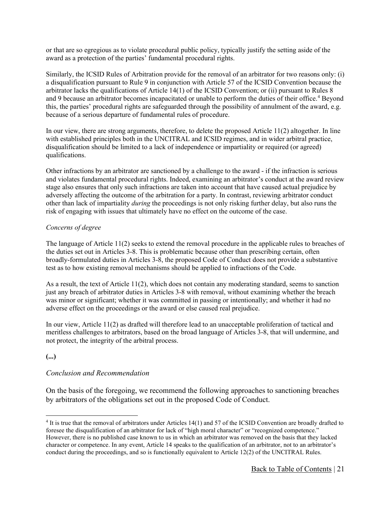or that are so egregious as to violate procedural public policy, typically justify the setting aside of the award as a protection of the parties' fundamental procedural rights.

Similarly, the ICSID Rules of Arbitration provide for the removal of an arbitrator for two reasons only: (i) a disqualification pursuant to Rule 9 in conjunction with Article 57 of the ICSID Convention because the arbitrator lacks the qualifications of Article 14(1) of the ICSID Convention; or (ii) pursuant to Rules 8 and 9 because an arbitrator becomes incapacitated or unable to perform the duties of their office.<sup>[4](#page-20-0)</sup> Beyond this, the parties' procedural rights are safeguarded through the possibility of annulment of the award, e.g. because of a serious departure of fundamental rules of procedure.

In our view, there are strong arguments, therefore, to delete the proposed Article 11(2) altogether. In line with established principles both in the UNCITRAL and ICSID regimes, and in wider arbitral practice, disqualification should be limited to a lack of independence or impartiality or required (or agreed) qualifications.

Other infractions by an arbitrator are sanctioned by a challenge to the award - if the infraction is serious and violates fundamental procedural rights. Indeed, examining an arbitrator's conduct at the award review stage also ensures that only such infractions are taken into account that have caused actual prejudice by adversely affecting the outcome of the arbitration for a party. In contrast, reviewing arbitrator conduct other than lack of impartiality *during* the proceedings is not only risking further delay, but also runs the risk of engaging with issues that ultimately have no effect on the outcome of the case.

#### *Concerns of degree*

The language of Article 11(2) seeks to extend the removal procedure in the applicable rules to breaches of the duties set out in Articles 3-8. This is problematic because other than prescribing certain, often broadly-formulated duties in Articles 3-8, the proposed Code of Conduct does not provide a substantive test as to how existing removal mechanisms should be applied to infractions of the Code.

As a result, the text of Article 11(2), which does not contain any moderating standard, seems to sanction just any breach of arbitrator duties in Articles 3-8 with removal, without examining whether the breach was minor or significant; whether it was committed in passing or intentionally; and whether it had no adverse effect on the proceedings or the award or else caused real prejudice.

In our view, Article 11(2) as drafted will therefore lead to an unacceptable proliferation of tactical and meritless challenges to arbitrators, based on the broad language of Articles 3-8, that will undermine, and not protect, the integrity of the arbitral process.

#### **(...)**

#### *Conclusion and Recommendation*

On the basis of the foregoing, we recommend the following approaches to sanctioning breaches by arbitrators of the obligations set out in the proposed Code of Conduct.

<span id="page-20-0"></span><sup>4</sup> It is true that the removal of arbitrators under Articles 14(1) and 57 of the ICSID Convention are broadly drafted to foresee the disqualification of an arbitrator for lack of "high moral character" or "recognized competence." However, there is no published case known to us in which an arbitrator was removed on the basis that they lacked character or competence. In any event, Article 14 speaks to the qualification of an arbitrator, not to an arbitrator's conduct during the proceedings, and so is functionally equivalent to Article 12(2) of the UNCITRAL Rules.